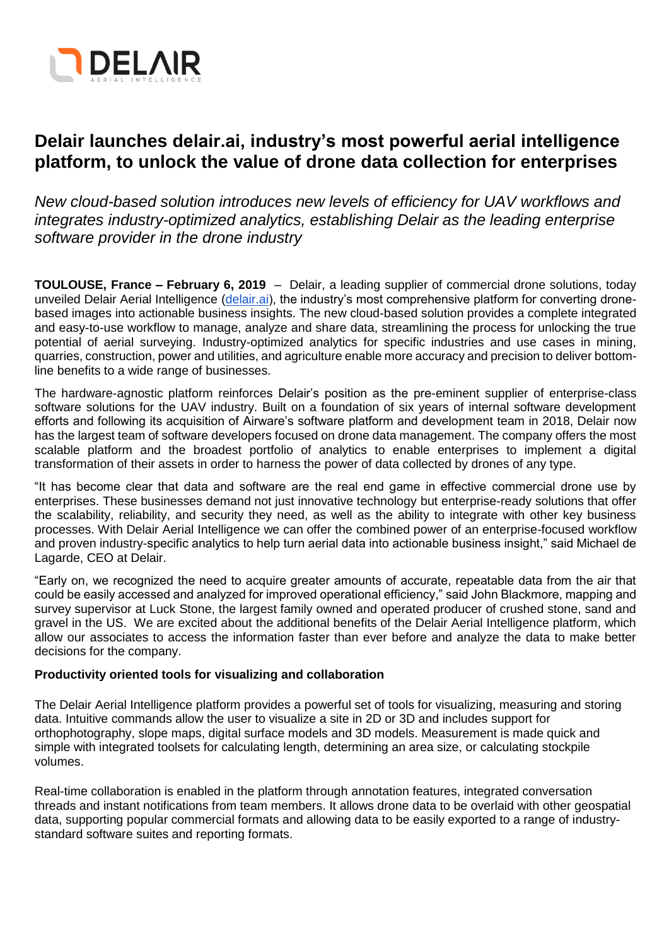

# **Delair launches delair.ai, industry's most powerful aerial intelligence platform, to unlock the value of drone data collection for enterprises**

*New cloud-based solution introduces new levels of efficiency for UAV workflows and integrates industry-optimized analytics, establishing Delair as the leading enterprise software provider in the drone industry*

**TOULOUSE, France – February 6, 2019** – Delair, a leading supplier of commercial drone solutions, today unveiled Delair Aerial Intelligence [\(delair.ai\)](https://delair.aero/aerial-data-solutions/), the industry's most comprehensive platform for converting dronebased images into actionable business insights. The new cloud-based solution provides a complete integrated and easy-to-use workflow to manage, analyze and share data, streamlining the process for unlocking the true potential of aerial surveying. Industry-optimized analytics for specific industries and use cases in mining, quarries, construction, power and utilities, and agriculture enable more accuracy and precision to deliver bottomline benefits to a wide range of businesses.

The hardware-agnostic platform reinforces Delair's position as the pre-eminent supplier of enterprise-class software solutions for the UAV industry. Built on a foundation of six years of internal software development efforts and following its acquisition of Airware's software platform and development team in 2018, Delair now has the largest team of software developers focused on drone data management. The company offers the most scalable platform and the broadest portfolio of analytics to enable enterprises to implement a digital transformation of their assets in order to harness the power of data collected by drones of any type.

"It has become clear that data and software are the real end game in effective commercial drone use by enterprises. These businesses demand not just innovative technology but enterprise-ready solutions that offer the scalability, reliability, and security they need, as well as the ability to integrate with other key business processes. With Delair Aerial Intelligence we can offer the combined power of an enterprise-focused workflow and proven industry-specific analytics to help turn aerial data into actionable business insight," said Michael de Lagarde, CEO at Delair.

"Early on, we recognized the need to acquire greater amounts of accurate, repeatable data from the air that could be easily accessed and analyzed for improved operational efficiency," said John Blackmore, mapping and survey supervisor at Luck Stone, the largest family owned and operated producer of crushed stone, sand and gravel in the US. We are excited about the additional benefits of the Delair Aerial Intelligence platform, which allow our associates to access the information faster than ever before and analyze the data to make better decisions for the company.

### **Productivity oriented tools for visualizing and collaboration**

The Delair Aerial Intelligence platform provides a powerful set of tools for visualizing, measuring and storing data. Intuitive commands allow the user to visualize a site in 2D or 3D and includes support for orthophotography, slope maps, digital surface models and 3D models. Measurement is made quick and simple with integrated toolsets for calculating length, determining an area size, or calculating stockpile volumes.

Real-time collaboration is enabled in the platform through annotation features, integrated conversation threads and instant notifications from team members. It allows drone data to be overlaid with other geospatial data, supporting popular commercial formats and allowing data to be easily exported to a range of industrystandard software suites and reporting formats.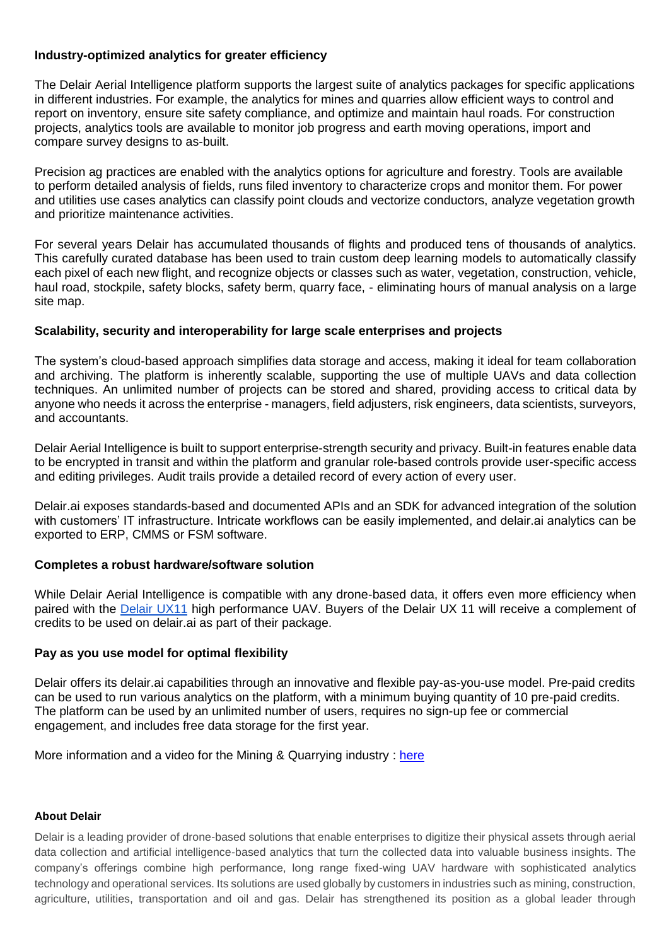## **Industry-optimized analytics for greater efficiency**

The Delair Aerial Intelligence platform supports the largest suite of analytics packages for specific applications in different industries. For example, the analytics for mines and quarries allow efficient ways to control and report on inventory, ensure site safety compliance, and optimize and maintain haul roads. For construction projects, analytics tools are available to monitor job progress and earth moving operations, import and compare survey designs to as-built.

Precision ag practices are enabled with the analytics options for agriculture and forestry. Tools are available to perform detailed analysis of fields, runs filed inventory to characterize crops and monitor them. For power and utilities use cases analytics can classify point clouds and vectorize conductors, analyze vegetation growth and prioritize maintenance activities.

For several years Delair has accumulated thousands of flights and produced tens of thousands of analytics. This carefully curated database has been used to train custom deep learning models to automatically classify each pixel of each new flight, and recognize objects or classes such as water, vegetation, construction, vehicle, haul road, stockpile, safety blocks, safety berm, quarry face, - eliminating hours of manual analysis on a large site map.

### **Scalability, security and interoperability for large scale enterprises and projects**

The system's cloud-based approach simplifies data storage and access, making it ideal for team collaboration and archiving. The platform is inherently scalable, supporting the use of multiple UAVs and data collection techniques. An unlimited number of projects can be stored and shared, providing access to critical data by anyone who needs it across the enterprise - managers, field adjusters, risk engineers, data scientists, surveyors, and accountants.

Delair Aerial Intelligence is built to support enterprise-strength security and privacy. Built-in features enable data to be encrypted in transit and within the platform and granular role-based controls provide user-specific access and editing privileges. Audit trails provide a detailed record of every action of every user.

Delair.ai exposes standards-based and documented APIs and an SDK for advanced integration of the solution with customers' IT infrastructure. Intricate workflows can be easily implemented, and delair.ai analytics can be exported to ERP, CMMS or FSM software.

### **Completes a robust hardware/software solution**

While Delair Aerial Intelligence is compatible with any drone-based data, it offers even more efficiency when paired with th[e](https://delair.aero/professional-drones-2/professional-mapping-drone-delair-ux11-2/) [Delair UX11](https://delair.aero/professional-drones-2/professional-mapping-drone-delair-ux11-2/) high performance UAV. Buyers of the Delair UX 11 will receive a complement of credits to be used on delair.ai as part of their package.

### **Pay as you use model for optimal flexibility**

Delair offers its delair.ai capabilities through an innovative and flexible pay-as-you-use model. Pre-paid credits can be used to run various analytics on the platform, with a minimum buying quantity of 10 pre-paid credits. The platform can be used by an unlimited number of users, requires no sign-up fee or commercial engagement, and includes free data storage for the first year.

More information and a video for the Mining & Quarrying industry : [here](https://delair.aero/?page_id=16357/?industry__c=Mines%20and%20Quarries)

### **About Delair**

Delair is a leading provider of drone-based solutions that enable enterprises to digitize their physical assets through aerial data collection and artificial intelligence-based analytics that turn the collected data into valuable business insights. The company's offerings combine high performance, long range fixed-wing UAV hardware with sophisticated analytics technology and operational services. Its solutions are used globally by customers in industries such as mining, construction, agriculture, utilities, transportation and oil and gas. Delair has strengthened its position as a global leader through